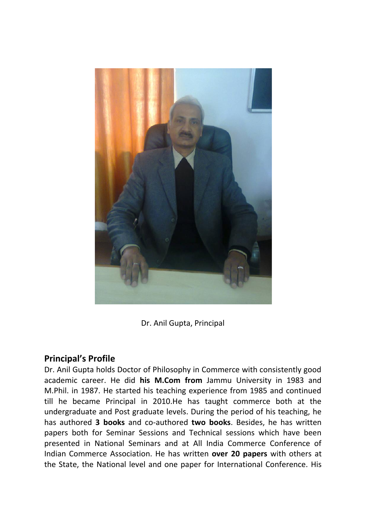

Dr. Anil Gupta, Principal

## **Principal's Profile**

Dr. Anil Gupta holds Doctor of Philosophy in Commerce with consistently good academic career. He did **his M.Com from** Jammu University in 1983 and M.Phil. in 1987. He started his teaching experience from 1985 and continued till he became Principal in 2010.He has taught commerce both at the undergraduate and Post graduate levels. During the period of his teaching, he has authored **3 books** and co-authored **two books**. Besides, he has written papers both for Seminar Sessions and Technical sessions which have been presented in National Seminars and at All India Commerce Conference of Indian Commerce Association. He has written **over 20 papers** with others at the State, the National level and one paper for International Conference. His